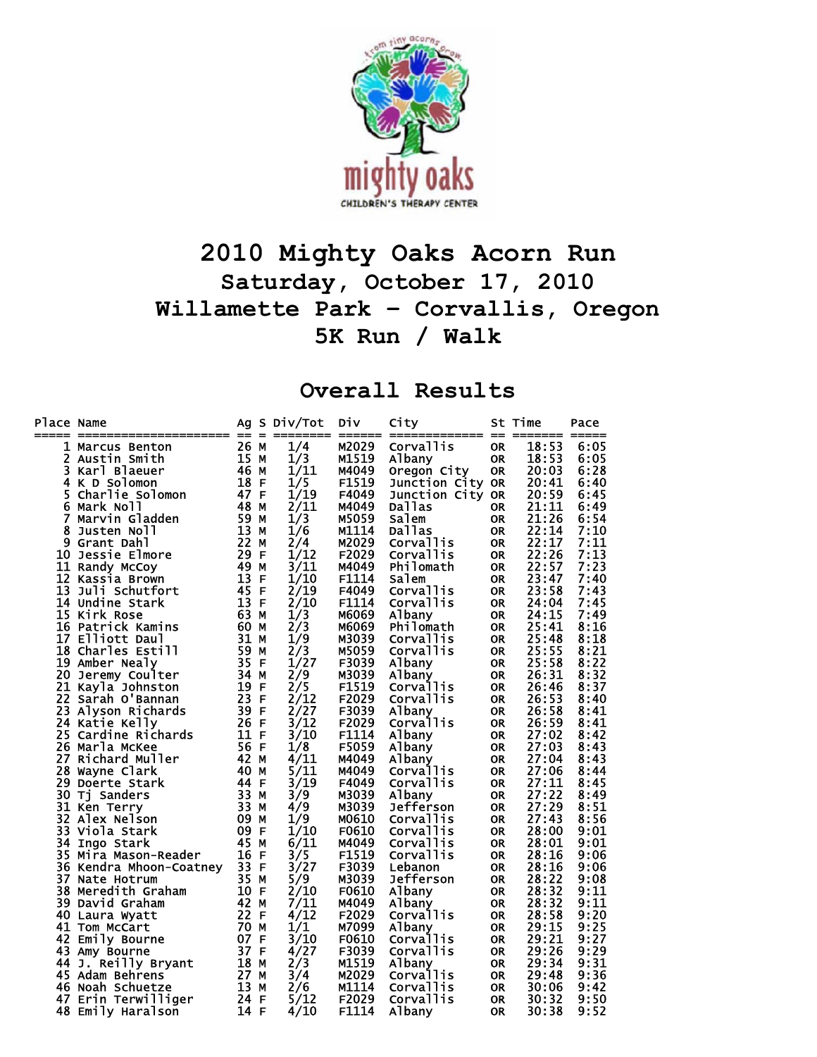

## **2010 Mighty Oaks Acorn Run Saturday, October 17, 2010 Willamette Park – Corvallis, Oregon 5K Run / Walk**

## **Overall Results**

| 26<br>1/4<br>M2029<br><b>Corvallis</b><br>18:53<br>6:05<br>1 Marcus Benton<br>М<br>0R<br>15 M<br>M1519<br>18:53<br>2<br>1/3<br>6:05<br>Austin Smith<br>Albany<br><b>OR</b><br>3<br>46 M<br>Karl Blaeuer<br>1/11<br>M4049<br>Oregon City<br><b>OR</b><br>20:03<br>6:28<br>18 F<br>F1519<br>20:41<br>4 K D Solomon<br>1/5<br>Junction City OR<br>6:40<br>47 F<br>1/19<br>20:59<br>5<br>Charlie Solomon<br>F4049<br>6:45<br>Junction City OR<br>2/11<br>21:11<br>48 M<br>6<br>M4049<br>Dallas<br>6:49<br>Mark Noll<br><b>OR</b><br>59 M<br>21:26<br>7<br>1/3<br>M5059<br>6:54<br>Marvin Gladden<br>Salem<br><b>OR</b><br>13M<br>1/6<br>22:14<br>8<br>M1114<br>Dallas<br>7:10<br>Justen Noll<br><b>OR</b><br>22 M<br>M2029<br>22:17<br>7:11<br>9 Grant Dahl<br>2/4<br>Corvallis<br><b>OR</b><br>29<br>E<br>1/12<br>F2029<br>22:26<br>7:13<br>10 Jessie Elmore<br>Corvallis<br><b>OR</b><br>3/11<br>49<br>22:57<br>7:23<br>M4049<br>11 Randy McCoy<br>M<br>Philomath<br><b>OR</b><br>13<br>F1114<br>12 Kassia Brown<br>F<br>1/10<br><b>Salem</b><br>23:47<br>7:40<br><b>OR</b><br>45<br>2/19<br>7:43<br>13 Juli Schutfort<br>F<br>F4049<br><b>Corvallis</b><br><b>OR</b><br>23:58<br>13 F<br>2/10<br>14 Undine Stark<br>F1114<br>7:45<br><b>Corvallis</b><br><b>OR</b><br>24:04<br>63 M<br>24:15<br>15 Kirk Rose<br>1/3<br>M6069<br>Albany<br><b>OR</b><br>7:49<br>2/3<br>16 Patrick Kamins<br>60 M<br>M6069<br>Philomath<br>25:41<br>8:16<br><b>OR</b><br>1/9<br>17 Elliott Daul<br>31 M<br>25:48<br>8:18<br>M3039<br>Corvallis<br><b>OR</b><br>59<br>2/3<br>18 Charles Estill<br>M5059<br>25:55<br>8:21<br>M<br>Corvallis<br>0R<br>35 F<br>1/27<br>F3039<br>25:58<br>8:22<br>19 Amber Nealy<br>Albany<br><b>OR</b><br>2/9<br>20 Jeremy Coulter<br>M3039<br>26:31<br>8:32<br>34<br>Albany<br>М<br><b>OR</b><br>19 F<br>2/5<br>21 Kayla Johnston<br>F1519<br><b>Corvallis</b><br>8:37<br><b>OR</b><br>26:46<br>23<br>F2029<br>22 Sarah O'Bannan<br>$\mathsf F$<br>2/12<br>Corvallis<br>26:53<br>8:40<br><b>OR</b><br>39 F<br>2/27<br>F3039<br>23 Alyson Richards<br>Albany<br>26:58<br>8:41<br><b>OR</b><br>24 Katie Kelly<br>26 F<br>3/12<br>F2029<br><b>Corvallis</b><br><b>OR</b><br>26:59<br>8:41<br>11 F<br>3/10<br>F1114<br>Albany<br>27:02<br>25 Cardine Richards<br><b>OR</b><br>8:42<br>56 F<br>26 Marla McKee<br>1/8<br>F5059<br>27:03<br>8:43<br>Albany<br><b>OR</b><br>42 M<br>4/11<br>27 Richard Muller<br>M4049<br>Albany<br>27:04<br>8:43<br><b>OR</b><br>28<br>40<br>5/11<br>Corvallis<br>27:06<br>M<br>M4049<br><b>OR</b><br>8:44<br>Wayne Clark<br>3/19<br>27:11<br>29 Doerte Stark<br>44<br>F4049<br>Corvallis<br>8:45<br>-F<br><b>OR</b><br>33<br>27:22<br>30 Tj Sanders<br>3/9<br>M3039<br>8:49<br>М<br>Albany<br><b>OR</b><br>33 M<br>27:29<br>8:51<br>4/9<br>Jefferson<br>31 Ken Terry<br>M3039<br><b>OR</b><br>09 M<br>27:43<br>32 Alex Nelson<br>1/9<br>M0610<br>8:56<br>Corvallis<br><b>OR</b><br>09 F<br>1/10<br>33 Viola Stark<br>F0610<br>Corvallis<br>28:00<br>9:01<br><b>OR</b><br>45 M<br>6/11<br>M4049<br>Corvallis<br>28:01<br>9:01<br>34 Ingo Stark<br><b>OR</b><br>16 F<br>F1519<br>3/5<br>Corvallis<br>28:16<br>9:06<br>35 Mira Mason-Reader<br><b>OR</b><br>33 F<br>3/27<br>F3039<br>28:16<br>36 Kendra Mhoon-Coatney<br>9:06<br>Lebanon<br><b>OR</b><br>35 M<br>5/9<br>M3039<br>28:22<br>9:08<br>37 Nate Hotrum<br><b>Jefferson</b><br><b>OR</b><br>2/10<br>10 F<br>F0610<br>28:32<br>9:11<br><b>38 Meredith Graham</b><br><b>OR</b><br>Albany<br>7/11<br>42 M<br>9:11<br>M4049<br>28:32<br>39 David Graham<br>Albany<br><b>OR</b><br>4/12<br>22 F<br>F2029<br>28:58<br>9:20<br><b>Corvallis</b><br>40 Laura Wyatt<br><b>OR</b><br>1/1<br>70 M<br>M7099<br>29:15<br>9:25<br>41 Tom McCart<br>A <sub>1</sub> bany<br><b>OR</b><br>3/10<br>07 F<br>F0610<br>29:21<br>9:27<br>42 Emily Bourne<br><b>Corvallis</b><br><b>OR</b><br>4/27<br>37 F<br>F3039<br><b>Corvallis</b><br>29:26<br>9:29<br>43 Amy Bourne<br><b>OR</b><br>18 M<br>2/3<br>M1519<br>9:31<br>44 J. Reilly Bryant<br>Albany<br><b>OR</b><br>29:34<br>3/4<br>Corvallis<br>M2029<br>29:48<br>9:36<br>45 Adam Behrens<br>27 M<br><b>OR</b> | Place Name | -------------------- | Ag<br>$== =$ |   | S Div/Tot | <b>Div</b><br>===== | City             | $==$      | St Time | Pace |
|----------------------------------------------------------------------------------------------------------------------------------------------------------------------------------------------------------------------------------------------------------------------------------------------------------------------------------------------------------------------------------------------------------------------------------------------------------------------------------------------------------------------------------------------------------------------------------------------------------------------------------------------------------------------------------------------------------------------------------------------------------------------------------------------------------------------------------------------------------------------------------------------------------------------------------------------------------------------------------------------------------------------------------------------------------------------------------------------------------------------------------------------------------------------------------------------------------------------------------------------------------------------------------------------------------------------------------------------------------------------------------------------------------------------------------------------------------------------------------------------------------------------------------------------------------------------------------------------------------------------------------------------------------------------------------------------------------------------------------------------------------------------------------------------------------------------------------------------------------------------------------------------------------------------------------------------------------------------------------------------------------------------------------------------------------------------------------------------------------------------------------------------------------------------------------------------------------------------------------------------------------------------------------------------------------------------------------------------------------------------------------------------------------------------------------------------------------------------------------------------------------------------------------------------------------------------------------------------------------------------------------------------------------------------------------------------------------------------------------------------------------------------------------------------------------------------------------------------------------------------------------------------------------------------------------------------------------------------------------------------------------------------------------------------------------------------------------------------------------------------------------------------------------------------------------------------------------------------------------------------------------------------------------------------------------------------------------------------------------------------------------------------------------------------------------------------------------------------------------------------------------------------------------------------------------------------------------------------------------------------------------------------------------------------------------------------------------------------------------------------------------------------------------------------------------------------------------------------------------------------------------------------------------------------------------------------------------------------------------------------------------------------------------------------------------------------------------------------------------------------------------------|------------|----------------------|--------------|---|-----------|---------------------|------------------|-----------|---------|------|
|                                                                                                                                                                                                                                                                                                                                                                                                                                                                                                                                                                                                                                                                                                                                                                                                                                                                                                                                                                                                                                                                                                                                                                                                                                                                                                                                                                                                                                                                                                                                                                                                                                                                                                                                                                                                                                                                                                                                                                                                                                                                                                                                                                                                                                                                                                                                                                                                                                                                                                                                                                                                                                                                                                                                                                                                                                                                                                                                                                                                                                                                                                                                                                                                                                                                                                                                                                                                                                                                                                                                                                                                                                                                                                                                                                                                                                                                                                                                                                                                                                                                                                                                        |            |                      |              |   |           |                     |                  |           |         |      |
|                                                                                                                                                                                                                                                                                                                                                                                                                                                                                                                                                                                                                                                                                                                                                                                                                                                                                                                                                                                                                                                                                                                                                                                                                                                                                                                                                                                                                                                                                                                                                                                                                                                                                                                                                                                                                                                                                                                                                                                                                                                                                                                                                                                                                                                                                                                                                                                                                                                                                                                                                                                                                                                                                                                                                                                                                                                                                                                                                                                                                                                                                                                                                                                                                                                                                                                                                                                                                                                                                                                                                                                                                                                                                                                                                                                                                                                                                                                                                                                                                                                                                                                                        |            |                      |              |   |           |                     |                  |           |         |      |
|                                                                                                                                                                                                                                                                                                                                                                                                                                                                                                                                                                                                                                                                                                                                                                                                                                                                                                                                                                                                                                                                                                                                                                                                                                                                                                                                                                                                                                                                                                                                                                                                                                                                                                                                                                                                                                                                                                                                                                                                                                                                                                                                                                                                                                                                                                                                                                                                                                                                                                                                                                                                                                                                                                                                                                                                                                                                                                                                                                                                                                                                                                                                                                                                                                                                                                                                                                                                                                                                                                                                                                                                                                                                                                                                                                                                                                                                                                                                                                                                                                                                                                                                        |            |                      |              |   |           |                     |                  |           |         |      |
|                                                                                                                                                                                                                                                                                                                                                                                                                                                                                                                                                                                                                                                                                                                                                                                                                                                                                                                                                                                                                                                                                                                                                                                                                                                                                                                                                                                                                                                                                                                                                                                                                                                                                                                                                                                                                                                                                                                                                                                                                                                                                                                                                                                                                                                                                                                                                                                                                                                                                                                                                                                                                                                                                                                                                                                                                                                                                                                                                                                                                                                                                                                                                                                                                                                                                                                                                                                                                                                                                                                                                                                                                                                                                                                                                                                                                                                                                                                                                                                                                                                                                                                                        |            |                      |              |   |           |                     |                  |           |         |      |
|                                                                                                                                                                                                                                                                                                                                                                                                                                                                                                                                                                                                                                                                                                                                                                                                                                                                                                                                                                                                                                                                                                                                                                                                                                                                                                                                                                                                                                                                                                                                                                                                                                                                                                                                                                                                                                                                                                                                                                                                                                                                                                                                                                                                                                                                                                                                                                                                                                                                                                                                                                                                                                                                                                                                                                                                                                                                                                                                                                                                                                                                                                                                                                                                                                                                                                                                                                                                                                                                                                                                                                                                                                                                                                                                                                                                                                                                                                                                                                                                                                                                                                                                        |            |                      |              |   |           |                     |                  |           |         |      |
|                                                                                                                                                                                                                                                                                                                                                                                                                                                                                                                                                                                                                                                                                                                                                                                                                                                                                                                                                                                                                                                                                                                                                                                                                                                                                                                                                                                                                                                                                                                                                                                                                                                                                                                                                                                                                                                                                                                                                                                                                                                                                                                                                                                                                                                                                                                                                                                                                                                                                                                                                                                                                                                                                                                                                                                                                                                                                                                                                                                                                                                                                                                                                                                                                                                                                                                                                                                                                                                                                                                                                                                                                                                                                                                                                                                                                                                                                                                                                                                                                                                                                                                                        |            |                      |              |   |           |                     |                  |           |         |      |
|                                                                                                                                                                                                                                                                                                                                                                                                                                                                                                                                                                                                                                                                                                                                                                                                                                                                                                                                                                                                                                                                                                                                                                                                                                                                                                                                                                                                                                                                                                                                                                                                                                                                                                                                                                                                                                                                                                                                                                                                                                                                                                                                                                                                                                                                                                                                                                                                                                                                                                                                                                                                                                                                                                                                                                                                                                                                                                                                                                                                                                                                                                                                                                                                                                                                                                                                                                                                                                                                                                                                                                                                                                                                                                                                                                                                                                                                                                                                                                                                                                                                                                                                        |            |                      |              |   |           |                     |                  |           |         |      |
|                                                                                                                                                                                                                                                                                                                                                                                                                                                                                                                                                                                                                                                                                                                                                                                                                                                                                                                                                                                                                                                                                                                                                                                                                                                                                                                                                                                                                                                                                                                                                                                                                                                                                                                                                                                                                                                                                                                                                                                                                                                                                                                                                                                                                                                                                                                                                                                                                                                                                                                                                                                                                                                                                                                                                                                                                                                                                                                                                                                                                                                                                                                                                                                                                                                                                                                                                                                                                                                                                                                                                                                                                                                                                                                                                                                                                                                                                                                                                                                                                                                                                                                                        |            |                      |              |   |           |                     |                  |           |         |      |
|                                                                                                                                                                                                                                                                                                                                                                                                                                                                                                                                                                                                                                                                                                                                                                                                                                                                                                                                                                                                                                                                                                                                                                                                                                                                                                                                                                                                                                                                                                                                                                                                                                                                                                                                                                                                                                                                                                                                                                                                                                                                                                                                                                                                                                                                                                                                                                                                                                                                                                                                                                                                                                                                                                                                                                                                                                                                                                                                                                                                                                                                                                                                                                                                                                                                                                                                                                                                                                                                                                                                                                                                                                                                                                                                                                                                                                                                                                                                                                                                                                                                                                                                        |            |                      |              |   |           |                     |                  |           |         |      |
|                                                                                                                                                                                                                                                                                                                                                                                                                                                                                                                                                                                                                                                                                                                                                                                                                                                                                                                                                                                                                                                                                                                                                                                                                                                                                                                                                                                                                                                                                                                                                                                                                                                                                                                                                                                                                                                                                                                                                                                                                                                                                                                                                                                                                                                                                                                                                                                                                                                                                                                                                                                                                                                                                                                                                                                                                                                                                                                                                                                                                                                                                                                                                                                                                                                                                                                                                                                                                                                                                                                                                                                                                                                                                                                                                                                                                                                                                                                                                                                                                                                                                                                                        |            |                      |              |   |           |                     |                  |           |         |      |
|                                                                                                                                                                                                                                                                                                                                                                                                                                                                                                                                                                                                                                                                                                                                                                                                                                                                                                                                                                                                                                                                                                                                                                                                                                                                                                                                                                                                                                                                                                                                                                                                                                                                                                                                                                                                                                                                                                                                                                                                                                                                                                                                                                                                                                                                                                                                                                                                                                                                                                                                                                                                                                                                                                                                                                                                                                                                                                                                                                                                                                                                                                                                                                                                                                                                                                                                                                                                                                                                                                                                                                                                                                                                                                                                                                                                                                                                                                                                                                                                                                                                                                                                        |            |                      |              |   |           |                     |                  |           |         |      |
|                                                                                                                                                                                                                                                                                                                                                                                                                                                                                                                                                                                                                                                                                                                                                                                                                                                                                                                                                                                                                                                                                                                                                                                                                                                                                                                                                                                                                                                                                                                                                                                                                                                                                                                                                                                                                                                                                                                                                                                                                                                                                                                                                                                                                                                                                                                                                                                                                                                                                                                                                                                                                                                                                                                                                                                                                                                                                                                                                                                                                                                                                                                                                                                                                                                                                                                                                                                                                                                                                                                                                                                                                                                                                                                                                                                                                                                                                                                                                                                                                                                                                                                                        |            |                      |              |   |           |                     |                  |           |         |      |
|                                                                                                                                                                                                                                                                                                                                                                                                                                                                                                                                                                                                                                                                                                                                                                                                                                                                                                                                                                                                                                                                                                                                                                                                                                                                                                                                                                                                                                                                                                                                                                                                                                                                                                                                                                                                                                                                                                                                                                                                                                                                                                                                                                                                                                                                                                                                                                                                                                                                                                                                                                                                                                                                                                                                                                                                                                                                                                                                                                                                                                                                                                                                                                                                                                                                                                                                                                                                                                                                                                                                                                                                                                                                                                                                                                                                                                                                                                                                                                                                                                                                                                                                        |            |                      |              |   |           |                     |                  |           |         |      |
|                                                                                                                                                                                                                                                                                                                                                                                                                                                                                                                                                                                                                                                                                                                                                                                                                                                                                                                                                                                                                                                                                                                                                                                                                                                                                                                                                                                                                                                                                                                                                                                                                                                                                                                                                                                                                                                                                                                                                                                                                                                                                                                                                                                                                                                                                                                                                                                                                                                                                                                                                                                                                                                                                                                                                                                                                                                                                                                                                                                                                                                                                                                                                                                                                                                                                                                                                                                                                                                                                                                                                                                                                                                                                                                                                                                                                                                                                                                                                                                                                                                                                                                                        |            |                      |              |   |           |                     |                  |           |         |      |
|                                                                                                                                                                                                                                                                                                                                                                                                                                                                                                                                                                                                                                                                                                                                                                                                                                                                                                                                                                                                                                                                                                                                                                                                                                                                                                                                                                                                                                                                                                                                                                                                                                                                                                                                                                                                                                                                                                                                                                                                                                                                                                                                                                                                                                                                                                                                                                                                                                                                                                                                                                                                                                                                                                                                                                                                                                                                                                                                                                                                                                                                                                                                                                                                                                                                                                                                                                                                                                                                                                                                                                                                                                                                                                                                                                                                                                                                                                                                                                                                                                                                                                                                        |            |                      |              |   |           |                     |                  |           |         |      |
|                                                                                                                                                                                                                                                                                                                                                                                                                                                                                                                                                                                                                                                                                                                                                                                                                                                                                                                                                                                                                                                                                                                                                                                                                                                                                                                                                                                                                                                                                                                                                                                                                                                                                                                                                                                                                                                                                                                                                                                                                                                                                                                                                                                                                                                                                                                                                                                                                                                                                                                                                                                                                                                                                                                                                                                                                                                                                                                                                                                                                                                                                                                                                                                                                                                                                                                                                                                                                                                                                                                                                                                                                                                                                                                                                                                                                                                                                                                                                                                                                                                                                                                                        |            |                      |              |   |           |                     |                  |           |         |      |
|                                                                                                                                                                                                                                                                                                                                                                                                                                                                                                                                                                                                                                                                                                                                                                                                                                                                                                                                                                                                                                                                                                                                                                                                                                                                                                                                                                                                                                                                                                                                                                                                                                                                                                                                                                                                                                                                                                                                                                                                                                                                                                                                                                                                                                                                                                                                                                                                                                                                                                                                                                                                                                                                                                                                                                                                                                                                                                                                                                                                                                                                                                                                                                                                                                                                                                                                                                                                                                                                                                                                                                                                                                                                                                                                                                                                                                                                                                                                                                                                                                                                                                                                        |            |                      |              |   |           |                     |                  |           |         |      |
|                                                                                                                                                                                                                                                                                                                                                                                                                                                                                                                                                                                                                                                                                                                                                                                                                                                                                                                                                                                                                                                                                                                                                                                                                                                                                                                                                                                                                                                                                                                                                                                                                                                                                                                                                                                                                                                                                                                                                                                                                                                                                                                                                                                                                                                                                                                                                                                                                                                                                                                                                                                                                                                                                                                                                                                                                                                                                                                                                                                                                                                                                                                                                                                                                                                                                                                                                                                                                                                                                                                                                                                                                                                                                                                                                                                                                                                                                                                                                                                                                                                                                                                                        |            |                      |              |   |           |                     |                  |           |         |      |
|                                                                                                                                                                                                                                                                                                                                                                                                                                                                                                                                                                                                                                                                                                                                                                                                                                                                                                                                                                                                                                                                                                                                                                                                                                                                                                                                                                                                                                                                                                                                                                                                                                                                                                                                                                                                                                                                                                                                                                                                                                                                                                                                                                                                                                                                                                                                                                                                                                                                                                                                                                                                                                                                                                                                                                                                                                                                                                                                                                                                                                                                                                                                                                                                                                                                                                                                                                                                                                                                                                                                                                                                                                                                                                                                                                                                                                                                                                                                                                                                                                                                                                                                        |            |                      |              |   |           |                     |                  |           |         |      |
|                                                                                                                                                                                                                                                                                                                                                                                                                                                                                                                                                                                                                                                                                                                                                                                                                                                                                                                                                                                                                                                                                                                                                                                                                                                                                                                                                                                                                                                                                                                                                                                                                                                                                                                                                                                                                                                                                                                                                                                                                                                                                                                                                                                                                                                                                                                                                                                                                                                                                                                                                                                                                                                                                                                                                                                                                                                                                                                                                                                                                                                                                                                                                                                                                                                                                                                                                                                                                                                                                                                                                                                                                                                                                                                                                                                                                                                                                                                                                                                                                                                                                                                                        |            |                      |              |   |           |                     |                  |           |         |      |
|                                                                                                                                                                                                                                                                                                                                                                                                                                                                                                                                                                                                                                                                                                                                                                                                                                                                                                                                                                                                                                                                                                                                                                                                                                                                                                                                                                                                                                                                                                                                                                                                                                                                                                                                                                                                                                                                                                                                                                                                                                                                                                                                                                                                                                                                                                                                                                                                                                                                                                                                                                                                                                                                                                                                                                                                                                                                                                                                                                                                                                                                                                                                                                                                                                                                                                                                                                                                                                                                                                                                                                                                                                                                                                                                                                                                                                                                                                                                                                                                                                                                                                                                        |            |                      |              |   |           |                     |                  |           |         |      |
|                                                                                                                                                                                                                                                                                                                                                                                                                                                                                                                                                                                                                                                                                                                                                                                                                                                                                                                                                                                                                                                                                                                                                                                                                                                                                                                                                                                                                                                                                                                                                                                                                                                                                                                                                                                                                                                                                                                                                                                                                                                                                                                                                                                                                                                                                                                                                                                                                                                                                                                                                                                                                                                                                                                                                                                                                                                                                                                                                                                                                                                                                                                                                                                                                                                                                                                                                                                                                                                                                                                                                                                                                                                                                                                                                                                                                                                                                                                                                                                                                                                                                                                                        |            |                      |              |   |           |                     |                  |           |         |      |
|                                                                                                                                                                                                                                                                                                                                                                                                                                                                                                                                                                                                                                                                                                                                                                                                                                                                                                                                                                                                                                                                                                                                                                                                                                                                                                                                                                                                                                                                                                                                                                                                                                                                                                                                                                                                                                                                                                                                                                                                                                                                                                                                                                                                                                                                                                                                                                                                                                                                                                                                                                                                                                                                                                                                                                                                                                                                                                                                                                                                                                                                                                                                                                                                                                                                                                                                                                                                                                                                                                                                                                                                                                                                                                                                                                                                                                                                                                                                                                                                                                                                                                                                        |            |                      |              |   |           |                     |                  |           |         |      |
|                                                                                                                                                                                                                                                                                                                                                                                                                                                                                                                                                                                                                                                                                                                                                                                                                                                                                                                                                                                                                                                                                                                                                                                                                                                                                                                                                                                                                                                                                                                                                                                                                                                                                                                                                                                                                                                                                                                                                                                                                                                                                                                                                                                                                                                                                                                                                                                                                                                                                                                                                                                                                                                                                                                                                                                                                                                                                                                                                                                                                                                                                                                                                                                                                                                                                                                                                                                                                                                                                                                                                                                                                                                                                                                                                                                                                                                                                                                                                                                                                                                                                                                                        |            |                      |              |   |           |                     |                  |           |         |      |
|                                                                                                                                                                                                                                                                                                                                                                                                                                                                                                                                                                                                                                                                                                                                                                                                                                                                                                                                                                                                                                                                                                                                                                                                                                                                                                                                                                                                                                                                                                                                                                                                                                                                                                                                                                                                                                                                                                                                                                                                                                                                                                                                                                                                                                                                                                                                                                                                                                                                                                                                                                                                                                                                                                                                                                                                                                                                                                                                                                                                                                                                                                                                                                                                                                                                                                                                                                                                                                                                                                                                                                                                                                                                                                                                                                                                                                                                                                                                                                                                                                                                                                                                        |            |                      |              |   |           |                     |                  |           |         |      |
|                                                                                                                                                                                                                                                                                                                                                                                                                                                                                                                                                                                                                                                                                                                                                                                                                                                                                                                                                                                                                                                                                                                                                                                                                                                                                                                                                                                                                                                                                                                                                                                                                                                                                                                                                                                                                                                                                                                                                                                                                                                                                                                                                                                                                                                                                                                                                                                                                                                                                                                                                                                                                                                                                                                                                                                                                                                                                                                                                                                                                                                                                                                                                                                                                                                                                                                                                                                                                                                                                                                                                                                                                                                                                                                                                                                                                                                                                                                                                                                                                                                                                                                                        |            |                      |              |   |           |                     |                  |           |         |      |
|                                                                                                                                                                                                                                                                                                                                                                                                                                                                                                                                                                                                                                                                                                                                                                                                                                                                                                                                                                                                                                                                                                                                                                                                                                                                                                                                                                                                                                                                                                                                                                                                                                                                                                                                                                                                                                                                                                                                                                                                                                                                                                                                                                                                                                                                                                                                                                                                                                                                                                                                                                                                                                                                                                                                                                                                                                                                                                                                                                                                                                                                                                                                                                                                                                                                                                                                                                                                                                                                                                                                                                                                                                                                                                                                                                                                                                                                                                                                                                                                                                                                                                                                        |            |                      |              |   |           |                     |                  |           |         |      |
|                                                                                                                                                                                                                                                                                                                                                                                                                                                                                                                                                                                                                                                                                                                                                                                                                                                                                                                                                                                                                                                                                                                                                                                                                                                                                                                                                                                                                                                                                                                                                                                                                                                                                                                                                                                                                                                                                                                                                                                                                                                                                                                                                                                                                                                                                                                                                                                                                                                                                                                                                                                                                                                                                                                                                                                                                                                                                                                                                                                                                                                                                                                                                                                                                                                                                                                                                                                                                                                                                                                                                                                                                                                                                                                                                                                                                                                                                                                                                                                                                                                                                                                                        |            |                      |              |   |           |                     |                  |           |         |      |
|                                                                                                                                                                                                                                                                                                                                                                                                                                                                                                                                                                                                                                                                                                                                                                                                                                                                                                                                                                                                                                                                                                                                                                                                                                                                                                                                                                                                                                                                                                                                                                                                                                                                                                                                                                                                                                                                                                                                                                                                                                                                                                                                                                                                                                                                                                                                                                                                                                                                                                                                                                                                                                                                                                                                                                                                                                                                                                                                                                                                                                                                                                                                                                                                                                                                                                                                                                                                                                                                                                                                                                                                                                                                                                                                                                                                                                                                                                                                                                                                                                                                                                                                        |            |                      |              |   |           |                     |                  |           |         |      |
|                                                                                                                                                                                                                                                                                                                                                                                                                                                                                                                                                                                                                                                                                                                                                                                                                                                                                                                                                                                                                                                                                                                                                                                                                                                                                                                                                                                                                                                                                                                                                                                                                                                                                                                                                                                                                                                                                                                                                                                                                                                                                                                                                                                                                                                                                                                                                                                                                                                                                                                                                                                                                                                                                                                                                                                                                                                                                                                                                                                                                                                                                                                                                                                                                                                                                                                                                                                                                                                                                                                                                                                                                                                                                                                                                                                                                                                                                                                                                                                                                                                                                                                                        |            |                      |              |   |           |                     |                  |           |         |      |
|                                                                                                                                                                                                                                                                                                                                                                                                                                                                                                                                                                                                                                                                                                                                                                                                                                                                                                                                                                                                                                                                                                                                                                                                                                                                                                                                                                                                                                                                                                                                                                                                                                                                                                                                                                                                                                                                                                                                                                                                                                                                                                                                                                                                                                                                                                                                                                                                                                                                                                                                                                                                                                                                                                                                                                                                                                                                                                                                                                                                                                                                                                                                                                                                                                                                                                                                                                                                                                                                                                                                                                                                                                                                                                                                                                                                                                                                                                                                                                                                                                                                                                                                        |            |                      |              |   |           |                     |                  |           |         |      |
|                                                                                                                                                                                                                                                                                                                                                                                                                                                                                                                                                                                                                                                                                                                                                                                                                                                                                                                                                                                                                                                                                                                                                                                                                                                                                                                                                                                                                                                                                                                                                                                                                                                                                                                                                                                                                                                                                                                                                                                                                                                                                                                                                                                                                                                                                                                                                                                                                                                                                                                                                                                                                                                                                                                                                                                                                                                                                                                                                                                                                                                                                                                                                                                                                                                                                                                                                                                                                                                                                                                                                                                                                                                                                                                                                                                                                                                                                                                                                                                                                                                                                                                                        |            |                      |              |   |           |                     |                  |           |         |      |
|                                                                                                                                                                                                                                                                                                                                                                                                                                                                                                                                                                                                                                                                                                                                                                                                                                                                                                                                                                                                                                                                                                                                                                                                                                                                                                                                                                                                                                                                                                                                                                                                                                                                                                                                                                                                                                                                                                                                                                                                                                                                                                                                                                                                                                                                                                                                                                                                                                                                                                                                                                                                                                                                                                                                                                                                                                                                                                                                                                                                                                                                                                                                                                                                                                                                                                                                                                                                                                                                                                                                                                                                                                                                                                                                                                                                                                                                                                                                                                                                                                                                                                                                        |            |                      |              |   |           |                     |                  |           |         |      |
|                                                                                                                                                                                                                                                                                                                                                                                                                                                                                                                                                                                                                                                                                                                                                                                                                                                                                                                                                                                                                                                                                                                                                                                                                                                                                                                                                                                                                                                                                                                                                                                                                                                                                                                                                                                                                                                                                                                                                                                                                                                                                                                                                                                                                                                                                                                                                                                                                                                                                                                                                                                                                                                                                                                                                                                                                                                                                                                                                                                                                                                                                                                                                                                                                                                                                                                                                                                                                                                                                                                                                                                                                                                                                                                                                                                                                                                                                                                                                                                                                                                                                                                                        |            |                      |              |   |           |                     |                  |           |         |      |
|                                                                                                                                                                                                                                                                                                                                                                                                                                                                                                                                                                                                                                                                                                                                                                                                                                                                                                                                                                                                                                                                                                                                                                                                                                                                                                                                                                                                                                                                                                                                                                                                                                                                                                                                                                                                                                                                                                                                                                                                                                                                                                                                                                                                                                                                                                                                                                                                                                                                                                                                                                                                                                                                                                                                                                                                                                                                                                                                                                                                                                                                                                                                                                                                                                                                                                                                                                                                                                                                                                                                                                                                                                                                                                                                                                                                                                                                                                                                                                                                                                                                                                                                        |            |                      |              |   |           |                     |                  |           |         |      |
|                                                                                                                                                                                                                                                                                                                                                                                                                                                                                                                                                                                                                                                                                                                                                                                                                                                                                                                                                                                                                                                                                                                                                                                                                                                                                                                                                                                                                                                                                                                                                                                                                                                                                                                                                                                                                                                                                                                                                                                                                                                                                                                                                                                                                                                                                                                                                                                                                                                                                                                                                                                                                                                                                                                                                                                                                                                                                                                                                                                                                                                                                                                                                                                                                                                                                                                                                                                                                                                                                                                                                                                                                                                                                                                                                                                                                                                                                                                                                                                                                                                                                                                                        |            |                      |              |   |           |                     |                  |           |         |      |
|                                                                                                                                                                                                                                                                                                                                                                                                                                                                                                                                                                                                                                                                                                                                                                                                                                                                                                                                                                                                                                                                                                                                                                                                                                                                                                                                                                                                                                                                                                                                                                                                                                                                                                                                                                                                                                                                                                                                                                                                                                                                                                                                                                                                                                                                                                                                                                                                                                                                                                                                                                                                                                                                                                                                                                                                                                                                                                                                                                                                                                                                                                                                                                                                                                                                                                                                                                                                                                                                                                                                                                                                                                                                                                                                                                                                                                                                                                                                                                                                                                                                                                                                        |            |                      |              |   |           |                     |                  |           |         |      |
|                                                                                                                                                                                                                                                                                                                                                                                                                                                                                                                                                                                                                                                                                                                                                                                                                                                                                                                                                                                                                                                                                                                                                                                                                                                                                                                                                                                                                                                                                                                                                                                                                                                                                                                                                                                                                                                                                                                                                                                                                                                                                                                                                                                                                                                                                                                                                                                                                                                                                                                                                                                                                                                                                                                                                                                                                                                                                                                                                                                                                                                                                                                                                                                                                                                                                                                                                                                                                                                                                                                                                                                                                                                                                                                                                                                                                                                                                                                                                                                                                                                                                                                                        |            |                      |              |   |           |                     |                  |           |         |      |
|                                                                                                                                                                                                                                                                                                                                                                                                                                                                                                                                                                                                                                                                                                                                                                                                                                                                                                                                                                                                                                                                                                                                                                                                                                                                                                                                                                                                                                                                                                                                                                                                                                                                                                                                                                                                                                                                                                                                                                                                                                                                                                                                                                                                                                                                                                                                                                                                                                                                                                                                                                                                                                                                                                                                                                                                                                                                                                                                                                                                                                                                                                                                                                                                                                                                                                                                                                                                                                                                                                                                                                                                                                                                                                                                                                                                                                                                                                                                                                                                                                                                                                                                        |            |                      |              |   |           |                     |                  |           |         |      |
|                                                                                                                                                                                                                                                                                                                                                                                                                                                                                                                                                                                                                                                                                                                                                                                                                                                                                                                                                                                                                                                                                                                                                                                                                                                                                                                                                                                                                                                                                                                                                                                                                                                                                                                                                                                                                                                                                                                                                                                                                                                                                                                                                                                                                                                                                                                                                                                                                                                                                                                                                                                                                                                                                                                                                                                                                                                                                                                                                                                                                                                                                                                                                                                                                                                                                                                                                                                                                                                                                                                                                                                                                                                                                                                                                                                                                                                                                                                                                                                                                                                                                                                                        |            |                      |              |   |           |                     |                  |           |         |      |
|                                                                                                                                                                                                                                                                                                                                                                                                                                                                                                                                                                                                                                                                                                                                                                                                                                                                                                                                                                                                                                                                                                                                                                                                                                                                                                                                                                                                                                                                                                                                                                                                                                                                                                                                                                                                                                                                                                                                                                                                                                                                                                                                                                                                                                                                                                                                                                                                                                                                                                                                                                                                                                                                                                                                                                                                                                                                                                                                                                                                                                                                                                                                                                                                                                                                                                                                                                                                                                                                                                                                                                                                                                                                                                                                                                                                                                                                                                                                                                                                                                                                                                                                        |            |                      |              |   |           |                     |                  |           |         |      |
|                                                                                                                                                                                                                                                                                                                                                                                                                                                                                                                                                                                                                                                                                                                                                                                                                                                                                                                                                                                                                                                                                                                                                                                                                                                                                                                                                                                                                                                                                                                                                                                                                                                                                                                                                                                                                                                                                                                                                                                                                                                                                                                                                                                                                                                                                                                                                                                                                                                                                                                                                                                                                                                                                                                                                                                                                                                                                                                                                                                                                                                                                                                                                                                                                                                                                                                                                                                                                                                                                                                                                                                                                                                                                                                                                                                                                                                                                                                                                                                                                                                                                                                                        |            |                      |              |   |           |                     |                  |           |         |      |
|                                                                                                                                                                                                                                                                                                                                                                                                                                                                                                                                                                                                                                                                                                                                                                                                                                                                                                                                                                                                                                                                                                                                                                                                                                                                                                                                                                                                                                                                                                                                                                                                                                                                                                                                                                                                                                                                                                                                                                                                                                                                                                                                                                                                                                                                                                                                                                                                                                                                                                                                                                                                                                                                                                                                                                                                                                                                                                                                                                                                                                                                                                                                                                                                                                                                                                                                                                                                                                                                                                                                                                                                                                                                                                                                                                                                                                                                                                                                                                                                                                                                                                                                        |            |                      |              |   |           |                     |                  |           |         |      |
|                                                                                                                                                                                                                                                                                                                                                                                                                                                                                                                                                                                                                                                                                                                                                                                                                                                                                                                                                                                                                                                                                                                                                                                                                                                                                                                                                                                                                                                                                                                                                                                                                                                                                                                                                                                                                                                                                                                                                                                                                                                                                                                                                                                                                                                                                                                                                                                                                                                                                                                                                                                                                                                                                                                                                                                                                                                                                                                                                                                                                                                                                                                                                                                                                                                                                                                                                                                                                                                                                                                                                                                                                                                                                                                                                                                                                                                                                                                                                                                                                                                                                                                                        |            |                      |              |   |           |                     |                  |           |         |      |
|                                                                                                                                                                                                                                                                                                                                                                                                                                                                                                                                                                                                                                                                                                                                                                                                                                                                                                                                                                                                                                                                                                                                                                                                                                                                                                                                                                                                                                                                                                                                                                                                                                                                                                                                                                                                                                                                                                                                                                                                                                                                                                                                                                                                                                                                                                                                                                                                                                                                                                                                                                                                                                                                                                                                                                                                                                                                                                                                                                                                                                                                                                                                                                                                                                                                                                                                                                                                                                                                                                                                                                                                                                                                                                                                                                                                                                                                                                                                                                                                                                                                                                                                        |            |                      |              |   |           |                     |                  |           |         |      |
|                                                                                                                                                                                                                                                                                                                                                                                                                                                                                                                                                                                                                                                                                                                                                                                                                                                                                                                                                                                                                                                                                                                                                                                                                                                                                                                                                                                                                                                                                                                                                                                                                                                                                                                                                                                                                                                                                                                                                                                                                                                                                                                                                                                                                                                                                                                                                                                                                                                                                                                                                                                                                                                                                                                                                                                                                                                                                                                                                                                                                                                                                                                                                                                                                                                                                                                                                                                                                                                                                                                                                                                                                                                                                                                                                                                                                                                                                                                                                                                                                                                                                                                                        |            | 46 Noah Schuetze     | 13           | М | 2/6       | M1114               | <b>Corvallis</b> | <b>OR</b> | 30:06   | 9:42 |
| 30:32<br>9:50<br>24<br>5/12<br>F2029<br><b>Corvallis</b><br>47 Erin Terwilliger<br>F<br><b>OR</b>                                                                                                                                                                                                                                                                                                                                                                                                                                                                                                                                                                                                                                                                                                                                                                                                                                                                                                                                                                                                                                                                                                                                                                                                                                                                                                                                                                                                                                                                                                                                                                                                                                                                                                                                                                                                                                                                                                                                                                                                                                                                                                                                                                                                                                                                                                                                                                                                                                                                                                                                                                                                                                                                                                                                                                                                                                                                                                                                                                                                                                                                                                                                                                                                                                                                                                                                                                                                                                                                                                                                                                                                                                                                                                                                                                                                                                                                                                                                                                                                                                      |            |                      |              |   |           |                     |                  |           |         |      |
| 4/10<br>F1114<br>A <sub>1</sub> bany<br>9:52<br>48 Emily Haralson<br>14<br>-F<br><b>OR</b><br>30:38                                                                                                                                                                                                                                                                                                                                                                                                                                                                                                                                                                                                                                                                                                                                                                                                                                                                                                                                                                                                                                                                                                                                                                                                                                                                                                                                                                                                                                                                                                                                                                                                                                                                                                                                                                                                                                                                                                                                                                                                                                                                                                                                                                                                                                                                                                                                                                                                                                                                                                                                                                                                                                                                                                                                                                                                                                                                                                                                                                                                                                                                                                                                                                                                                                                                                                                                                                                                                                                                                                                                                                                                                                                                                                                                                                                                                                                                                                                                                                                                                                    |            |                      |              |   |           |                     |                  |           |         |      |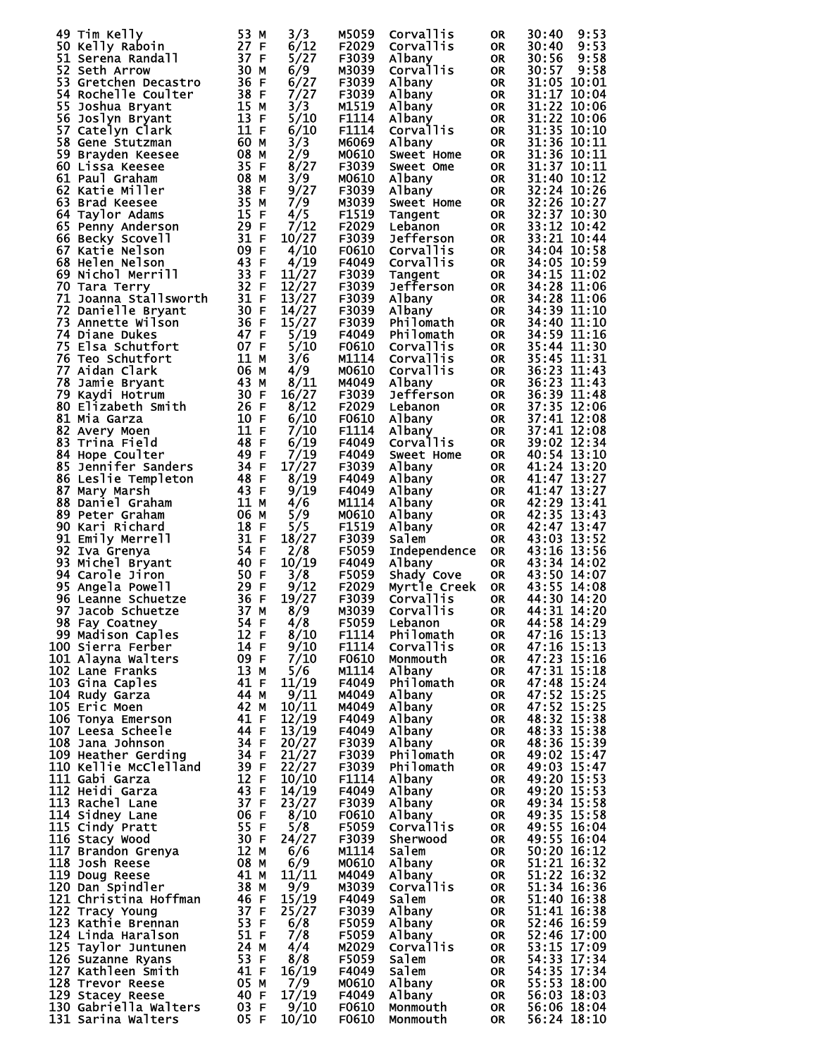| 49 Tim Kelly                                                                                 | 53 M                                                        | 3/3   | M5059        | Corvallis        | 0R.       | 30:40<br>9:53 |
|----------------------------------------------------------------------------------------------|-------------------------------------------------------------|-------|--------------|------------------|-----------|---------------|
| 50 Kelly Raboin                                                                              | 27 F                                                        | 6/12  | F2029        | Corvallis        | <b>OR</b> | 9:53<br>30:40 |
| 51 Serena Randall                                                                            | 37 F                                                        | 5/27  | F3039        | Albany           | <b>OR</b> | 30:56<br>9:58 |
|                                                                                              |                                                             |       |              |                  |           |               |
| 52 Seth Arrow                                                                                | 30 M                                                        | 6/9   | M3039        | Corvallis        | <b>OR</b> | 30:57<br>9:58 |
| 53 Gretchen Decastro                                                                         | 36 F                                                        | 6/27  | F3039        | Albany           | <b>OR</b> | 31:05 10:01   |
| 54 Rochelle Coulter                                                                          | 38 F                                                        | 7/27  | F3039        | Albany           | <b>OR</b> | 31:17 10:04   |
|                                                                                              |                                                             |       |              |                  |           |               |
| 55 Joshua Bryant                                                                             | 15 M                                                        | 3/3   | M1519        | Albany           | OR        | 31:22 10:06   |
| 56 Joslyn Bryant                                                                             | 13 F                                                        | 5/10  | F1114        | Albany           | <b>OR</b> | 31:22 10:06   |
|                                                                                              | 11 F                                                        |       | F1114        |                  |           |               |
| 57 Catelyn Clark                                                                             |                                                             | 6/10  |              | Corvallis        | <b>OR</b> | 31:35 10:10   |
| 58 Gene Stutzman                                                                             | 60 M                                                        | 3/3   | M6069        | Albany           | <b>OR</b> | 31:36 10:11   |
| 59 Brayden Keesee                                                                            | 08 M                                                        | 2/9   | M0610        | Sweet Home       | <b>OR</b> | 31:36 10:11   |
|                                                                                              |                                                             |       |              |                  |           |               |
| 60 Lissa Keesee                                                                              | 35 F                                                        | 8/27  | F3039        | Sweet Ome        | <b>OR</b> | 31:37 10:11   |
| 61 Paul Graham                                                                               | 08 M                                                        | 3/9   | M0610        | Albany           | <b>OR</b> | 31:40 10:12   |
| 62 Katie Miller                                                                              | 38 F                                                        | 9/27  | F3039        | Albany           | <b>OR</b> | 32:24 10:26   |
|                                                                                              |                                                             |       |              |                  |           |               |
| 63 Brad Keesee                                                                               | 35 M                                                        | 7/9   | M3039        | Sweet Home       | <b>OR</b> | 32:26 10:27   |
| 64 Taylor Adams                                                                              | 15 F                                                        | 4/5   | F1519        | Tangent          | <b>OR</b> | 32:37 10:30   |
| 65 Penny Anderson                                                                            | 29 F                                                        | 7/12  | F2029        | Lebanon          | <b>OR</b> | 33:12 10:42   |
|                                                                                              |                                                             |       |              |                  |           |               |
| 66 Becky Scovell                                                                             | 31 F                                                        | 10/27 | F3039        | <b>Jefferson</b> | <b>OR</b> | 33:21 10:44   |
| 67 Katie Nelson                                                                              | 09 F                                                        | 4/10  | F0610        | Corvallis        | <b>OR</b> | 34:04 10:58   |
| 68 Helen Nelson                                                                              | 43 F                                                        | 4/19  | F4049        | Corvallis        | <b>OR</b> | 34:05 10:59   |
|                                                                                              |                                                             |       |              |                  |           |               |
| 69 Nichol Merrill                                                                            | 33 F                                                        | 11/27 | F3039        | Tangent          | <b>OR</b> | 34:15 11:02   |
| 70 Tara Terry                                                                                | 32 F                                                        | 12/27 | F3039        | <b>Jefferson</b> | <b>OR</b> | 34:28 11:06   |
| 71 Joanna Stallsworth                                                                        | 31 F                                                        | 13/27 | F3039        | Albany           |           | 34:28 11:06   |
|                                                                                              |                                                             |       |              |                  | OR        |               |
| 72 Danielle Bryant                                                                           | 30 F                                                        | 14/27 | F3039        | Albany           | <b>OR</b> | 34:39 11:10   |
| 73 Annette Wilson                                                                            | 36 F                                                        | 15/27 | F3039        | Philomath        | <b>OR</b> | 34:40 11:10   |
| 74 Diane Dukes                                                                               | 47 F                                                        | 5/19  | F4049        | Philomath        | <b>OR</b> | 34:59 11:16   |
|                                                                                              |                                                             |       |              |                  |           |               |
| 75 Elsa Schutfort                                                                            | 07 F                                                        | 5/10  | F0610        | Corvallis        | <b>OR</b> | 35:44 11:30   |
| 76 Teo Schutfort                                                                             | 11 M                                                        | 3/6   | M1114        | Corvallis        | <b>OR</b> | 35:45 11:31   |
|                                                                                              |                                                             |       |              |                  |           |               |
| 77 Aidan Clark                                                                               | 06 M                                                        | 4/9   | M0610        | <b>Corvallis</b> | OR.       | 36:23 11:43   |
| 78 Jamie Bryant                                                                              | 43 M                                                        | 8/11  | M4049        | Albany           | <b>OR</b> | 36:23 11:43   |
| 79 Kaydi Hotrum                                                                              | 30 F                                                        | 16/27 | F3039        | <b>Jefferson</b> | OR        | 36:39 11:48   |
|                                                                                              |                                                             |       |              |                  |           |               |
| 80 Elizabeth Smith                                                                           | 26 F                                                        | 8/12  | F2029        | Lebanon          | <b>OR</b> | 37:35 12:06   |
| 81 Mia Garza                                                                                 | 10 F                                                        | 6/10  | F0610        | Albany           | <b>OR</b> | 37:41 12:08   |
| 82 Avery Moen                                                                                | 11 F                                                        | 7/10  | F1114        | Albany           | <b>OR</b> | 37:41 12:08   |
|                                                                                              |                                                             |       |              |                  |           |               |
| 83 Trina Field                                                                               | 48 F                                                        | 6/19  | F4049        | Corvallis        | <b>OR</b> | 39:02 12:34   |
| 84 Hope Coulter                                                                              | 49 F                                                        | 7/19  | F4049        | Sweet Home       | <b>OR</b> | 40:54 13:10   |
| 85 Jennifer Sanders                                                                          | 34 F                                                        | 17/27 | F3039        | Albany           | OR.       | 41:24 13:20   |
|                                                                                              |                                                             |       |              |                  |           |               |
| 86 Leslie Templeton                                                                          | 48 F                                                        | 8/19  | F4049        | Albany           | OR.       | 41:47 13:27   |
| 87 Mary Marsh                                                                                | 43 F                                                        | 9/19  | F4049        | Albany           | OR.       | 41:47 13:27   |
| 88 Daniel Graham                                                                             | 11 M                                                        | 4/6   | M1114        | Albany           | OR.       | 42:29 13:41   |
|                                                                                              |                                                             |       |              |                  |           |               |
| 89 Peter Graham                                                                              | 06 M                                                        | 5/9   | M0610        | Albany           | OR.       | 42:35 13:43   |
| 90 Kari Richard                                                                              | 18 F                                                        | 5/5   | F1519        | Albany           | OR        | 42:47 13:47   |
|                                                                                              | 31 F                                                        |       |              |                  |           |               |
| 91 Emily Merrell                                                                             |                                                             | 18/27 | F3039        | <b>Salem</b>     | <b>OR</b> | 43:03 13:52   |
| 92 Iva Grenya                                                                                | 54 F                                                        | 2/8   | F5059        | Independence     | <b>OR</b> | 43:16 13:56   |
| 93 Michel Bryant                                                                             | 40 F                                                        | 10/19 | F4049        | Albany           | <b>OR</b> | 43:34 14:02   |
|                                                                                              |                                                             |       |              |                  |           |               |
| 94 Carole Jiron                                                                              | 50 F                                                        | 3/8   | F5059        | Shady Cove       | <b>OR</b> | 43:50 14:07   |
| 95 Angela Powell                                                                             | 29 F                                                        | 9/12  | F2029        | Myrtle Creek     | <b>OR</b> | 43:55 14:08   |
| 96 Leanne Schuetze                                                                           | 36 F                                                        | 19/27 | F3039        | Corvallis        | <b>OR</b> | 44:30 14:20   |
|                                                                                              |                                                             |       |              |                  |           |               |
| 97 Jacob Schuetze                                                                            | 37 M                                                        | 8/9   | M3039        | Corvallis        | <b>OR</b> | 44:31 14:20   |
| 98 Fay Coatney                                                                               | 54 F                                                        | 4/8   | <b>F5059</b> | Lebanon          | <b>OR</b> | 44:58 14:29   |
| 99 Madison Caples                                                                            | 12 F                                                        | 8/10  | F1114        | Philomath        | OR        | 47:16 15:13   |
|                                                                                              |                                                             |       |              |                  |           |               |
| 100 Sierra Ferber                                                                            | 14 F                                                        | 9/10  | F1114        | Corvallis        | <b>OR</b> | 47:16 15:13   |
| 101 Alayna Walters                                                                           | 09 F                                                        | 7/10  | F0610        | Monmouth         | <b>OR</b> | 47:23 15:16   |
| 102 Lane Franks                                                                              | 13 M                                                        | 5/6   | M1114        | Albany           | OR.       | 47:31 15:18   |
|                                                                                              |                                                             |       |              |                  |           |               |
| 103 Gina Caples                                                                              | 41 F                                                        | 11/19 | F4049        | Philomath        | OR.       | 47:48 15:24   |
| 104 Rudy Garza                                                                               | 44 M                                                        | 9/11  | M4049        | Albany           | OR.       | 47:52 15:25   |
| 105 Eric Moen                                                                                | 42 M                                                        | 10/11 | M4049        | Albany           | OR.       | 47:52 15:25   |
|                                                                                              | 41 F                                                        |       | F4049        |                  |           | 48:32 15:38   |
| 106 Tonya Emerson                                                                            |                                                             | 12/19 |              | Albany           | OR        |               |
|                                                                                              |                                                             | 13/19 | F4049        | Albany           | OR        | 48:33 15:38   |
| 107 Leesa Scheen<br>108 Jana Johnson<br>109 Heather Gerding<br>110 Kellie McClelland<br>12 F |                                                             | 20/27 | F3039        | Albany           | OR        | 48:36 15:39   |
|                                                                                              |                                                             | 21/27 | F3039        | Philomath        | OR.       | 49:02 15:47   |
|                                                                                              |                                                             |       |              |                  |           |               |
|                                                                                              |                                                             | 22/27 | F3039        | Philomath        | <b>OR</b> | 49:03 15:47   |
| 111 Gabi Garza                                                                               | 12 F                                                        | 10/10 | F1114        | Albany           | <b>OR</b> | 49:20 15:53   |
| 112 Heidi Garza                                                                              | $\frac{12}{43}$ F                                           | 14/19 | F4049        | Albany           | OR D      | 49:20 15:53   |
|                                                                                              |                                                             |       |              |                  |           |               |
| 113 Rachel Lane                                                                              |                                                             | 23/27 | F3039        | Albany           | <b>OR</b> | 49:34 15:58   |
| 114 Sidney Lane                                                                              | $\begin{array}{r} 37 \\ 06 \end{array} F$<br>06 F           | 8/10  | F0610        | Albany           | <b>OR</b> | 49:35 15:58   |
| 115 Cindy Pratt                                                                              |                                                             | 5/8   | F5059        | Corvallis        | <b>OR</b> | 49:55 16:04   |
|                                                                                              |                                                             |       |              |                  |           |               |
| 116 Stacy Wood                                                                               | 55<br>30 F<br>30 M                                          | 24/27 | F3039        | Sherwood         | <b>OR</b> | 49:55 16:04   |
|                                                                                              |                                                             | 6/6   | M1114        | Salem            | OR.       | 50:20 16:12   |
|                                                                                              | $\frac{12}{08}$ M                                           | 6/9   | M0610        | Albany           | <b>OR</b> | 51:21 16:32   |
| 117 Brandon Grenya<br>118 Josh Reese<br>119 Doug Reese<br>120 Dan Spindler                   |                                                             |       |              |                  |           |               |
|                                                                                              | 41 M                                                        | 11/11 | M4049        | Albany           | <b>OR</b> | 51:22 16:32   |
| 120 Dan Spindler                                                                             | 38 M                                                        | 9/9   | M3039        | <b>Corvallis</b> | <b>OR</b> | 51:34 16:36   |
| 121 Christina Hoffman                                                                        |                                                             |       |              | salem            |           | 51:40 16:38   |
|                                                                                              | $\frac{46}{37}$ F                                           | 15/19 | F4049        |                  | <b>OR</b> |               |
| 122 Tracy Young                                                                              | 37 F                                                        | 25/27 | F3039        | Albany           | <b>OR</b> | 51:41 16:38   |
| 123 Kathie Brennan                                                                           | $\frac{53}{51}$ F                                           | 6/8   | F5059        | Albany           | <b>OR</b> | 52:46 16:59   |
|                                                                                              |                                                             |       |              |                  |           |               |
| 124 Linda Haralson                                                                           | 51 F                                                        | 7/8   | F5059        | Albany           | <b>OR</b> | 52:46 17:00   |
| 125 Taylor Juntunen                                                                          | 24 M                                                        | 4/4   | M2029        | Corvallis        | <b>OR</b> | 53:15 17:09   |
| 126 Suzanne Ryans                                                                            | 53 F                                                        | 8/8   | F5059        | Salem            | <b>OR</b> | 54:33 17:34   |
|                                                                                              |                                                             |       |              |                  |           |               |
| 127 Kathleen Smith                                                                           | 41 F                                                        | 16/19 | F4049        | Salem            | <b>OR</b> | 54:35 17:34   |
| 128 Trevor Reese                                                                             | 05 M                                                        | 7/9   | M0610        | Albany           | OR DO     | 55:53 18:00   |
| 129 Stacey Reese                                                                             |                                                             | 17/19 | F4049        | Albany           | <b>OR</b> | 56:03 18:03   |
|                                                                                              | $\begin{array}{c} 40 \text{ F} \\ 03 \text{ F} \end{array}$ |       |              |                  |           |               |
| 130 Gabriella Walters                                                                        |                                                             | 9/10  | <b>F0610</b> | Monmouth         | <b>OR</b> | 56:06 18:04   |
| 131 Sarina Walters                                                                           | 05 F                                                        | 10/10 | F0610        | Monmouth         | OR.       | 56:24 18:10   |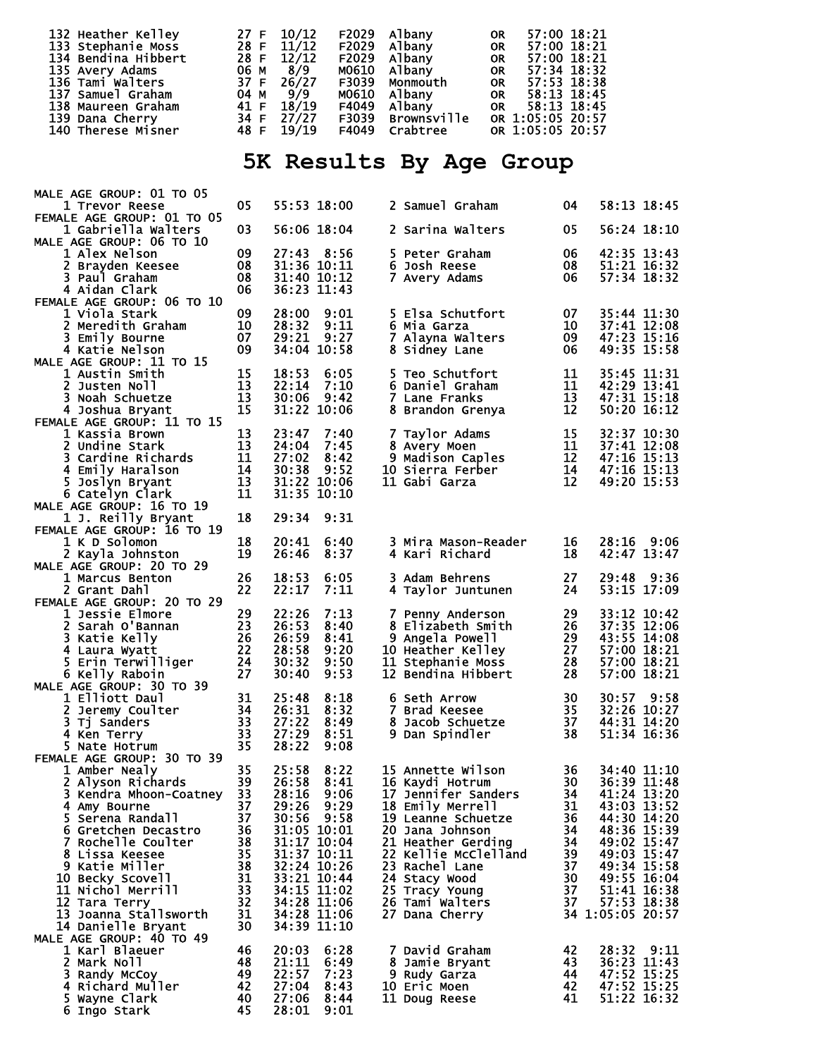| 132 Heather Kelley  | 27 F 10/12 | F2029 Albany              | 57:00 18:21<br><b>OR</b> |
|---------------------|------------|---------------------------|--------------------------|
| 133 Stephanie Moss  |            | 28 F 11/12 F2029 Albany   | 57:00 18:21<br><b>OR</b> |
| 134 Bendina Hibbert | 28 F 12/12 | F2029 Albany              | 57:00 18:21<br><b>OR</b> |
| 135 Avery Adams     | 06 м 8/9   | M0610 Albany              | 57:34 18:32<br><b>OR</b> |
| 136 Tami Walters    |            | 37 F 26/27 F3039 Monmouth | 57:53 18:38<br><b>OR</b> |
| 137 Samuel Graham   | 04 м 9/9   | M0610 Albanv              | 58:13 18:45<br><b>OR</b> |
| 138 Maureen Graham  | 41 F 18/19 | F4049 Albany              | OR 58:13 18:45           |
| 139 Dana Cherry     | 34 F 27/27 | F3039 Brownsville         | OR 1:05:05 20:57         |
| 140 Therese Misner  | 48 F 19/19 | F4049 Crabtree            | OR 1:05:05 20:57         |
|                     |            |                           |                          |

## **5K Results By Age Group**

| MALE AGE GROUP: 01 TO 05                          |          |                            |                     |                                                              |           |                               |
|---------------------------------------------------|----------|----------------------------|---------------------|--------------------------------------------------------------|-----------|-------------------------------|
| 1 Trevor Reese                                    | 05       |                            | 55:53 18:00         | 2 Samuel Graham                                              | 04        | 58:13 18:45                   |
| FEMALE AGE GROUP: 01 TO 05<br>1 Gabriella Walters | 03       |                            | 56:06 18:04         | 2 Sarina Walters                                             | 05        | 56:24 18:10                   |
| MALE AGE GROUP: 06 TO 10<br>1 Alex Nelson         | 09       |                            | 27:43 8:56          | 5 Peter Graham                                               | -06       | 42:35 13:43                   |
| 2 Brayden Keesee                                  | 08       | 31:36 10:11                |                     | 6 Josh Reese                                                 | 08        | 51:21 16:32                   |
| 3 Paul Graham                                     | 08       | 31:40 10:12                |                     | 7 Avery Adams                                                | 06        | 57:34 18:32                   |
| 4 Aidan Clark<br>FEMALE AGE GROUP: 06 TO 10       | 06       | 36:23 11:43                |                     |                                                              |           |                               |
| 1 Viola Stark                                     | 09       | 28:00                      | 9:01                | 5 Elsa Schutfort                                             | 07        | 35:44 11:30                   |
| 2 Meredith Graham                                 | 10       | 28:32                      | 9:11                | 6 Mia Garza                                                  | 10        | 37:41 12:08                   |
| 3 Emily Bourne                                    | 07       | 29:21                      | 9:27                | 7 Alayna Walters                                             | 09        | 47:23 15:16                   |
| 4 Katie Nelson<br>MALE AGE GROUP: 11 TO 15        | 09       |                            | 34:04 10:58         | 8 Sidney Lane                                                | 06        | 49:35 15:58                   |
| 1 Austin Smith                                    | 15       | 18:53                      | 6:05                | 5 Teo Schutfort                                              | 11        | 35:45 11:31                   |
| 2 Justen Noll                                     | 13       | 22:14                      | 7:10                | 6 Daniel Graham                                              | 11        | 42:29 13:41                   |
| 3 Noah Schuetze                                   | 13       | 30:06                      | 9:42                | 7 Lane Franks                                                | 13        | 47:31 15:18                   |
| 4 Joshua Bryant<br>FEMALE AGE GROUP: 11 TO 15     | 15       |                            | 31:22 10:06         | 8 Brandon Grenya                                             | 12        | 50:20 16:12                   |
| 1 Kassia Brown                                    | 13       | 23:47                      | 7:40                | 7 Taylor Adams                                               | 15        | 32:37 10:30                   |
| 2 Undine Stark                                    | 13       | 24:04                      | 7:45                | 8 Avery Moen                                                 | 11        | 37:41 12:08                   |
| 3 Cardine Richards                                | 11       | 27:02                      | 8:42                | 9 Madison Caples                                             | 12        | 47:16 15:13                   |
| 4 Emily Haralson<br>5 Joslyn Bryant               | 14<br>13 | 30:38                      | 9:52<br>31:22 10:06 | Jo Sierra Ferber<br>11 Gabi Garza                            | 14<br>12  | 47:16 15:13<br>49:20 15:53    |
| 6 Catelyn Clark                                   | 11       |                            | 31:35 10:10         |                                                              |           |                               |
| MALE AGE GROUP: 16 TO 19                          |          |                            |                     |                                                              |           |                               |
| 1 J. Reilly Bryant                                | 18       | 29:34                      | 9:31                |                                                              |           |                               |
| FEMALE AGE GROUP: 16 TO 19<br>1 K D Solomon       | 18       | 20:41                      | 6:40                | 3 Mira Mason-Reader                                          | 16        | 28:16 9:06                    |
| 2 Kayla Johnston                                  | 19       | 26:46                      | 8:37                | 4 Kari Richard                                               | 18        | 42:47 13:47                   |
| MALE AGE GROUP: 20 TO 29                          |          |                            |                     |                                                              |           |                               |
| 1 Marcus Benton                                   | 26       | 18:53                      | 6:05                | 3 Adam Behrens                                               | 27        | 29:48<br>9:36                 |
| 2 Grant Dahl                                      | 22       | 22:17                      | 7:11                | 4 Taylor Juntunen                                            | 24        | 53:15 17:09                   |
| FEMALE AGE GROUP: 20 TO 29<br>1 Jessie Elmore     | 29       | 22:26                      | 7:13                | 7 Penny Anderson                                             | 29        | 33:12 10:42                   |
| 2 Sarah O'Bannan                                  | 23       | 26:53                      | 8:40                | 8 Elizabeth Smith                                            | 26        | 37:35 12:06                   |
| 3 Katie Kelly                                     | 26       | 26:59                      | 8:41                | 9 Angela Powell                                              | 29        | 43:55 14:08                   |
| 4 Laura Wyatt                                     | 22       | 28:58                      | 9:20                |                                                              | 27        | 57:00 18:21                   |
| 5 Erin Terwilliger<br>6 Kelly Raboin              | 24<br>27 | 30:32<br>30:40             | 9:50<br>9:53        | 10 Heather Kelley<br>11 Stephanie Moss<br>12 Bendina Hibbert | 28<br>-28 | 57:00 18:21<br>57:00 18:21    |
| MALE AGE GROUP: 30 TO 39                          |          |                            |                     |                                                              |           |                               |
| 1 Elliott Daul                                    | 31       | 25:48                      | 8:18                | <b>6 Seth Arrow</b>                                          | 30        | 30:57 9:58                    |
| 2 Jeremy Coulter                                  | 34       | 26:31                      | 8:32                | 7 Brad Keesee                                                | 35        | 32:26 10:27<br>44:31 14:20    |
| 3 Tj Sanders<br>4 Ken Terry                       | 33<br>33 | 27:22<br>27:29             | 8:49<br>8:51        | 8 Jacob Schuetze<br>9 Dan Spindler                           | 37<br>38  | 51:34 16:36                   |
| 5 Nate Hotrum                                     | 35       | 28:22                      | 9:08                |                                                              |           |                               |
| FEMALE AGE GROUP: 30 TO 39                        |          |                            |                     |                                                              |           |                               |
| 1 Amber Nealy<br>2 Alyson Richards 39             | 35       | 25:58                      | 8:22<br>26:58 8:41  | 15 Annette Wilson<br>16 Kaydi Hotrum                         | 36        | 34:40 11:10<br>30 36:39 11:48 |
| 3 Kendra Mhoon-Coatney                            | 33       | 28:16                      | 9:06                | 17 Jennifer Sanders                                          | 34        | 41:24 13:20                   |
| 4 Amy Bourne                                      | 37       | 29:26                      | 9:29                | 18 Emily Merrell                                             | 31        | 43:03 13:52                   |
| 5 Serena Randall                                  | 37       | 30:56                      | 9:58                | 19 Leanne Schuetze                                           | 36        | 44:30 14:20                   |
| 6 Gretchen Decastro                               | 36       |                            | 31:05 10:01         | 20 Jana Johnson                                              | 34        | 48:36 15:39                   |
| 7 Rochelle Coulter<br>8 Lissa Keesee              | 38<br>35 | 31:37 10:11                | 31:17 10:04         | 21 Heather Gerding<br>22 Kellie McClelland                   | 34<br>39  | 49:02 15:47<br>49:03 15:47    |
| 9 Katie Miller                                    | 38       |                            | 32:24 10:26         | 23 Rachel Lane                                               | 37        | 49:34 15:58                   |
| 10 Becky Scovell                                  | 31       | 33:21 10:44                |                     | 24 Stacy Wood                                                | 30        | 49:55 16:04                   |
| 11 Nichol Merrill                                 | 33       | 34:15 11:02                |                     | 25 Tracy Young                                               | 37        | 51:41 16:38<br>57:53 18:38    |
| 12 Tara Terry<br>13 Joanna Stallsworth            | 32<br>31 | 34:28 11:06<br>34:28 11:06 |                     | 26 Tami Walters<br>27 Dana Cherry                            | 37        | 34 1:05:05 20:57              |
| 14 Danielle Bryant                                | 30       | 34:39 11:10                |                     |                                                              |           |                               |
| MALE AGE GROUP: 40 TO 49                          |          |                            |                     |                                                              |           |                               |
| 1 Karl Blaeuer                                    | 46       | 20:03                      | 6:28                | 7 David Graham                                               | 42        | 28:32 9:11                    |
| 2 Mark Noll<br>3 Randy McCoy                      | 48<br>49 | 21:11<br>22:57             | 6:49<br>7:23        | 8 Jamie Bryant<br>9 Rudy Garza                               | 43<br>44  | 36:23 11:43<br>47:52 15:25    |
| 4 Richard Muller                                  | 42       | 27:04                      | 8:43                | 10 Eric Moen                                                 | 42        | 47:52 15:25                   |
| 5 Wayne Clark                                     | 40       | 27:06                      | 8:44                | 11 Doug Reese                                                | 41        | 51:22 16:32                   |
| 6 Ingo Stark                                      | 45       | 28:01                      | 9:01                |                                                              |           |                               |